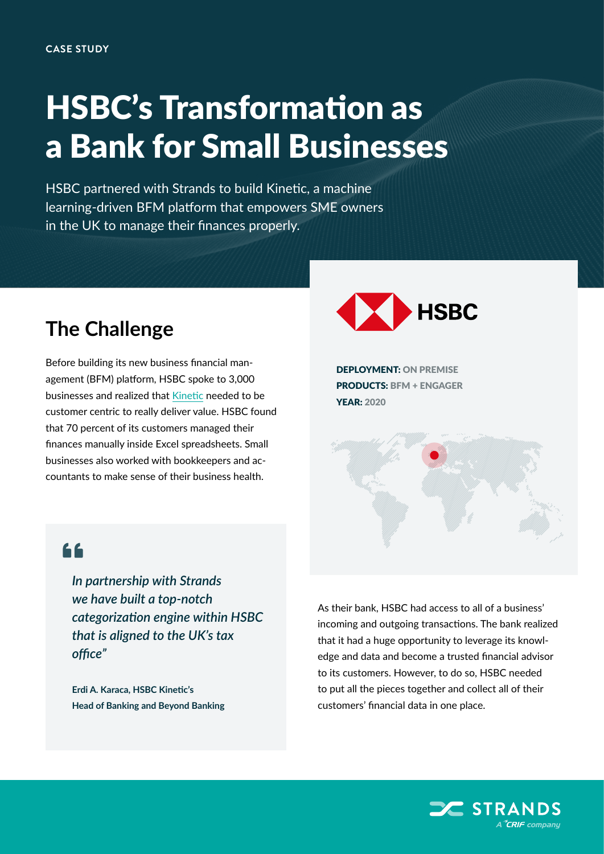## HSBC's Transformation as a Bank for Small Businesses

HSBC partnered with Strands to build Kinetic, a machine learning-driven BFM platform that empowers SME owners in the UK to manage their finances properly.

## **The Challenge**

Before building its new business financial management (BFM) platform, HSBC spoke to 3,000 businesses and realized that [Kinetic](https://www.business.hsbc.uk/en-gb/everyday-banking/business-accounts/kinetic) needed to be customer centric to really deliver value. HSBC found that 70 percent of its customers managed their finances manually inside Excel spreadsheets. Small businesses also worked with bookkeepers and accountants to make sense of their business health.



DEPLOYMENT: ON PREMISE PRODUCTS: BFM + ENGAGER YEAR: 2020



*In partnership with Strands we have built a top-notch categorization engine within HSBC that is aligned to the UK's tax office"*

**Erdi A. Karaca, HSBC Kinetic's Head of Banking and Beyond Banking** As their bank, HSBC had access to all of a business' incoming and outgoing transactions. The bank realized that it had a huge opportunity to leverage its knowledge and data and become a trusted financial advisor to its customers. However, to do so, HSBC needed to put all the pieces together and collect all of their customers' financial data in one place.